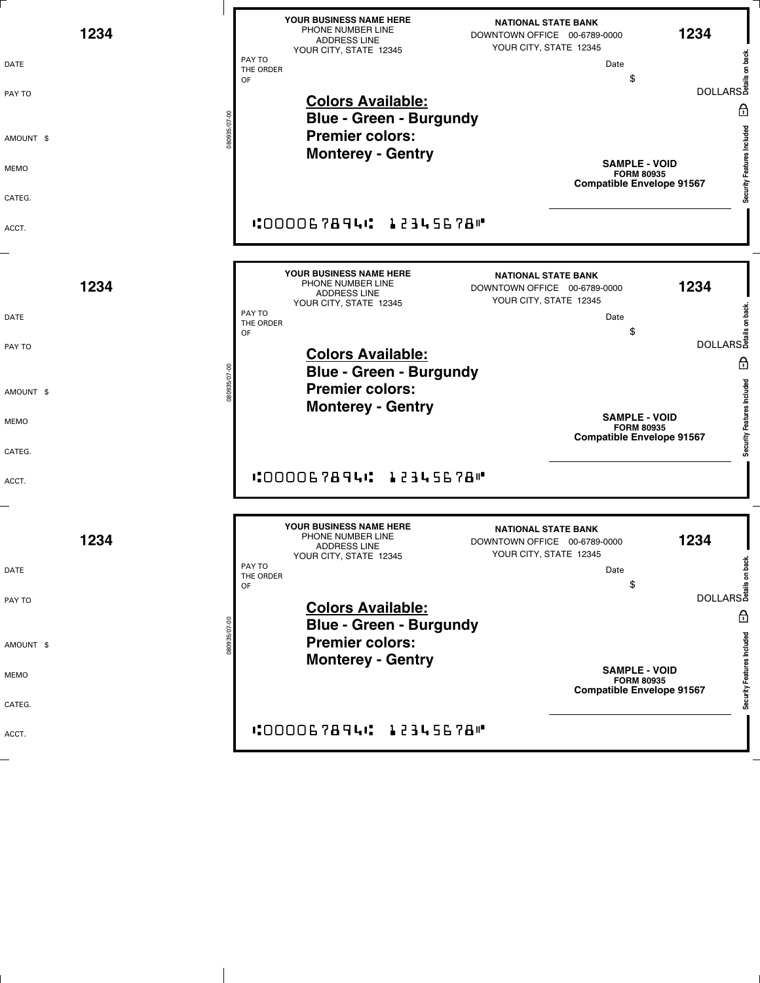| 1234<br>DATE<br>PAY TO<br>AMOUNT \$<br>MEMO | YOUR BUSINESS NAME HERE<br><b>NATIONAL STATE BANK</b><br>PHONE NUMBER LINE<br>1234<br>DOWNTOWN OFFICE 00-6789-0000<br><b>ADDRESS LINE</b><br>YOUR CITY, STATE 12345<br>YOUR CITY, STATE 12345<br>PAY TO<br>Date<br>THE ORDER<br>\$<br>OF<br><b>Colors Available:</b><br>A<br><b>Blue - Green - Burgundy</b><br>Security Features Included<br><b>Premier colors:</b><br><b>Monterey - Gentry</b><br><b>SAMPLE - VOID</b><br><b>FORM 80935</b><br><b>Compatible Envelope 91567</b> |
|---------------------------------------------|----------------------------------------------------------------------------------------------------------------------------------------------------------------------------------------------------------------------------------------------------------------------------------------------------------------------------------------------------------------------------------------------------------------------------------------------------------------------------------|
| CATEG.<br>ACCT.                             | "OOOOG 7894" 12345678"                                                                                                                                                                                                                                                                                                                                                                                                                                                           |
| 1234                                        | YOUR BUSINESS NAME HERE<br><b>NATIONAL STATE BANK</b><br>PHONE NUMBER LINE<br>1234<br>DOWNTOWN OFFICE 00-6789-0000<br><b>ADDRESS LINE</b><br>YOUR CITY, STATE 12345<br>YOUR CITY, STATE 12345<br>PAY TO                                                                                                                                                                                                                                                                          |
| DATE<br>PAY TO                              | <del>کا</del><br>BOLLARS<br>Balland<br>Date<br>THE ORDER<br>S<br>OF<br><b>Colors Available:</b><br>A<br><b>Blue - Green - Burgundy</b>                                                                                                                                                                                                                                                                                                                                           |
| AMOUNT \$<br>MEMO<br>CATEG.                 | Security Features Included<br><b>Premier colors:</b><br><b>Monterey - Gentry</b><br><b>SAMPLE - VOID</b><br><b>FORM 80935</b><br><b>Compatible Envelope 91567</b>                                                                                                                                                                                                                                                                                                                |
| ACCT.                                       | <b>"OOOOG7894": 12345678"</b>                                                                                                                                                                                                                                                                                                                                                                                                                                                    |
| 1234                                        | YOUR BUSINESS NAME HERE<br><b>NATIONAL STATE BANK</b><br>PHONE NUMBER LINE<br>1234<br>DOWNTOWN OFFICE 00-6789-0000<br><b>ADDRESS LINE</b><br>YOUR CITY, STATE 12345<br>YOUR CITY, STATE 12345<br>PAY TO                                                                                                                                                                                                                                                                          |
| DATE<br>PAY TO                              | كة<br>BOLLARS<br>Bails of Bail<br>Date<br>THE ORDER<br>S<br>OF<br><b>Colors Available:</b><br>A<br><b>Blue - Green - Burgundy</b>                                                                                                                                                                                                                                                                                                                                                |
| 080935/07-00<br>AMOUNT \$<br>MEMO           | Security Features Included<br><b>Premier colors:</b><br><b>Monterey - Gentry</b><br><b>SAMPLE - VOID</b><br><b>FORM 80935</b>                                                                                                                                                                                                                                                                                                                                                    |
| CATEG.<br>ACCT.                             | <b>Compatible Envelope 91567</b><br><b>"000067894" 12345678"</b>                                                                                                                                                                                                                                                                                                                                                                                                                 |